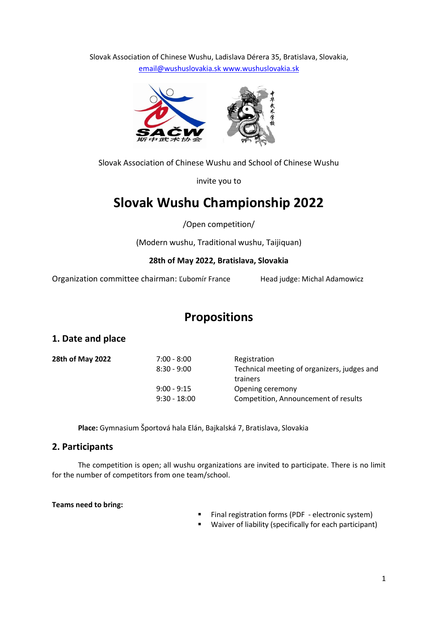Slovak Association of Chinese Wushu, Ladislava Dérera 35, Bratislava, Slovakia, [email@wushuslovakia.sk](mailto:email@wushuslovakia.sk) [www.wushuslovakia.sk](http://www.wushuslovakia.sk/)



Slovak Association of Chinese Wushu and School of Chinese Wushu

invite you to

# **Slovak Wushu Championship 2022**

/Open competition/

(Modern wushu, Traditional wushu, Taijiquan)

## **28th of May 2022, Bratislava, Slovakia**

Organization committee chairman: Ľubomír France Head judge: Michal Adamowicz

## **Propositions**

## **1. Date and place**

| 28th of May 2022 | $7:00 - 8:00$  | Registration                                |
|------------------|----------------|---------------------------------------------|
|                  | $8:30 - 9:00$  | Technical meeting of organizers, judges and |
|                  |                | trainers                                    |
|                  | $9:00 - 9:15$  | Opening ceremony                            |
|                  | $9:30 - 18:00$ | Competition, Announcement of results        |
|                  |                |                                             |

**Place:** Gymnasium Športová hala Elán, Bajkalská 7, Bratislava, Slovakia

## **2. Participants**

The competition is open; all wushu organizations are invited to participate. There is no limit for the number of competitors from one team/school.

**Teams need to bring:**

- Final registration forms (PDF electronic system)
- Waiver of liability (specifically for each participant)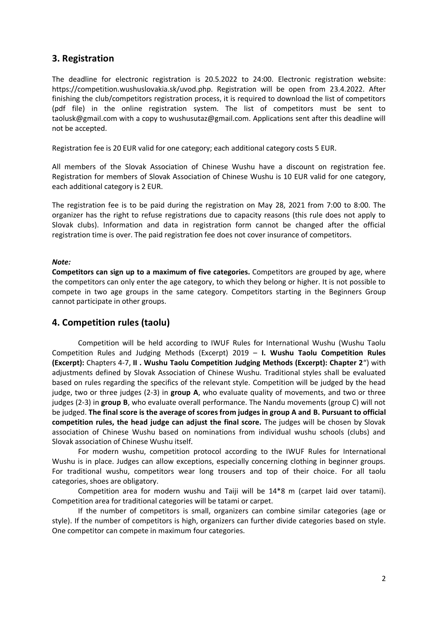## **3. Registration**

The deadline for electronic registration is 20.5.2022 to 24:00. Electronic registration website: https://competition.wushuslovakia.sk/uvod.php. Registration will be open from 23.4.2022. After finishing the club/competitors registration process, it is required to download the list of competitors (pdf file) in the online registration system. The list of competitors must be sent to taolusk@gmail.com with a copy to wushusutaz@gmail.com. Applications sent after this deadline will not be accepted.

Registration fee is 20 EUR valid for one category; each additional category costs 5 EUR.

All members of the Slovak Association of Chinese Wushu have a discount on registration fee. Registration for members of Slovak Association of Chinese Wushu is 10 EUR valid for one category, each additional category is 2 EUR.

The registration fee is to be paid during the registration on May 28, 2021 from 7:00 to 8:00. The organizer has the right to refuse registrations due to capacity reasons (this rule does not apply to Slovak clubs). Information and data in registration form cannot be changed after the official registration time is over. The paid registration fee does not cover insurance of competitors.

#### *Note:*

**Competitors can sign up to a maximum of five categories.** Competitors are grouped by age, where the competitors can only enter the age category, to which they belong or higher. It is not possible to compete in two age groups in the same category. Competitors starting in the Beginners Group cannot participate in other groups.

## **4. Competition rules (taolu)**

Competition will be held according to IWUF Rules for International Wushu (Wushu Taolu Competition Rules and Judging Methods (Excerpt) 2019 – **I. Wushu Taolu Competition Rules (Excerpt):** Chapters 4-7, **II . Wushu Taolu Competition Judging Methods (Excerpt): Chapter 2**") with adjustments defined by Slovak Association of Chinese Wushu. Traditional styles shall be evaluated based on rules regarding the specifics of the relevant style. Competition will be judged by the head judge, two or three judges (2-3) in **group A**, who evaluate quality of movements, and two or three judges (2-3) in **group B**, who evaluate overall performance. The Nandu movements (group C) will not be judged. **The final score is the average of scores from judges in group A and B. Pursuant to official competition rules, the head judge can adjust the final score.** The judges will be chosen by Slovak association of Chinese Wushu based on nominations from individual wushu schools (clubs) and Slovak association of Chinese Wushu itself.

For modern wushu, competition protocol according to the IWUF Rules for International Wushu is in place. Judges can allow exceptions, especially concerning clothing in beginner groups. For traditional wushu, competitors wear long trousers and top of their choice. For all taolu categories, shoes are obligatory.

Competition area for modern wushu and Taiji will be 14\*8 m (carpet laid over tatami). Competition area for traditional categories will be tatami or carpet.

If the number of competitors is small, organizers can combine similar categories (age or style). If the number of competitors is high, organizers can further divide categories based on style. One competitor can compete in maximum four categories.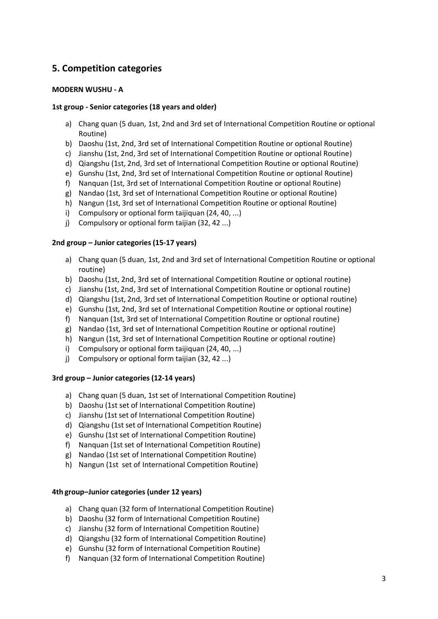## **5. Competition categories**

#### **MODERN WUSHU - A**

#### **1st group - Senior categories (18 years and older)**

- a) Chang quan (5 duan, 1st, 2nd and 3rd set of International Competition Routine or optional Routine)
- b) Daoshu (1st, 2nd, 3rd set of International Competition Routine or optional Routine)
- c) Jianshu (1st, 2nd, 3rd set of International Competition Routine or optional Routine)
- d) Qiangshu (1st, 2nd, 3rd set of International Competition Routine or optional Routine)
- e) Gunshu (1st, 2nd, 3rd set of International Competition Routine or optional Routine)
- f) Nanquan (1st, 3rd set of International Competition Routine or optional Routine)
- g) Nandao (1st, 3rd set of International Competition Routine or optional Routine)
- h) Nangun (1st, 3rd set of International Competition Routine or optional Routine)
- i) Compulsory or optional form taijiquan (24, 40, ...)
- j) Compulsory or optional form taijian (32, 42 ...)

#### **2nd group – Junior categories (15-17 years)**

- a) Chang quan (5 duan, 1st, 2nd and 3rd set of International Competition Routine or optional routine)
- b) Daoshu (1st, 2nd, 3rd set of International Competition Routine or optional routine)
- c) Jianshu (1st, 2nd, 3rd set of International Competition Routine or optional routine)
- d) Qiangshu (1st, 2nd, 3rd set of International Competition Routine or optional routine)
- e) Gunshu (1st, 2nd, 3rd set of International Competition Routine or optional routine)
- f) Nanquan (1st, 3rd set of International Competition Routine or optional routine)
- g) Nandao (1st, 3rd set of International Competition Routine or optional routine)
- h) Nangun (1st, 3rd set of International Competition Routine or optional routine)
- i) Compulsory or optional form taijiquan (24, 40, ...)
- j) Compulsory or optional form taijian (32, 42 ...)

#### **3rd group – Junior categories (12-14 years)**

- a) Chang quan (5 duan, 1st set of International Competition Routine)
- b) Daoshu (1st set of International Competition Routine)
- c) Jianshu (1st set of International Competition Routine)
- d) Qiangshu (1st set of International Competition Routine)
- e) Gunshu (1st set of International Competition Routine)
- f) Nanquan (1st set of International Competition Routine)
- g) Nandao (1st set of International Competition Routine)
- h) Nangun (1st set of International Competition Routine)

#### **4th group–Junior categories (under 12 years)**

- a) Chang quan (32 form of International Competition Routine)
- b) Daoshu (32 form of International Competition Routine)
- c) Jianshu (32 form of International Competition Routine)
- d) Qiangshu (32 form of International Competition Routine)
- e) Gunshu (32 form of International Competition Routine)
- f) Nanquan (32 form of International Competition Routine)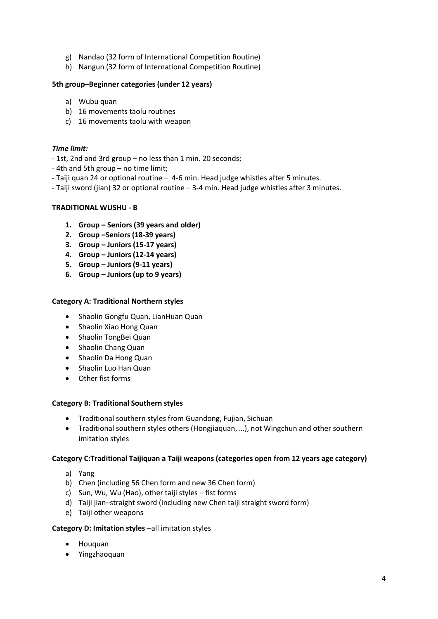- g) Nandao (32 form of International Competition Routine)
- h) Nangun (32 form of International Competition Routine)

#### **5th group–Beginner categories (under 12 years)**

- a) Wubu quan
- b) 16 movements taolu routines
- c) 16 movements taolu with weapon

#### *Time limit:*

- 1st, 2nd and 3rd group no less than 1 min. 20 seconds;
- 4th and 5th group no time limit;
- Taiji quan 24 or optional routine 4-6 min. Head judge whistles after 5 minutes.
- Taiji sword (jian) 32 or optional routine 3-4 min. Head judge whistles after 3 minutes.

#### **TRADITIONAL WUSHU - B**

- **1. Group – Seniors (39 years and older)**
- **2. Group –Seniors (18-39 years)**
- **3. Group – Juniors (15-17 years)**
- **4. Group – Juniors (12-14 years)**
- **5. Group – Juniors (9-11 years)**
- **6. Group – Juniors (up to 9 years)**

#### **Category A: Traditional Northern styles**

- Shaolin Gongfu Quan, LianHuan Quan
- Shaolin Xiao Hong Quan
- Shaolin TongBei Quan
- Shaolin Chang Quan
- Shaolin Da Hong Quan
- Shaolin Luo Han Quan
- Other fist forms

#### **Category B: Traditional Southern styles**

- Traditional southern styles from Guandong, Fujian, Sichuan
- Traditional southern styles others (Hongjiaquan, …), not Wingchun and other southern imitation styles

#### **Category C:Traditional Taijiquan a Taiji weapons (categories open from 12 years age category)**

- a) Yang
- b) Chen (including 56 Chen form and new 36 Chen form)
- c) Sun, Wu, Wu (Hao), other taiji styles fist forms
- d) Taiji jian–straight sword (including new Chen taiji straight sword form)
- e) Taiji other weapons

#### **Category D: Imitation styles** –all imitation styles

- Houquan
- Yingzhaoquan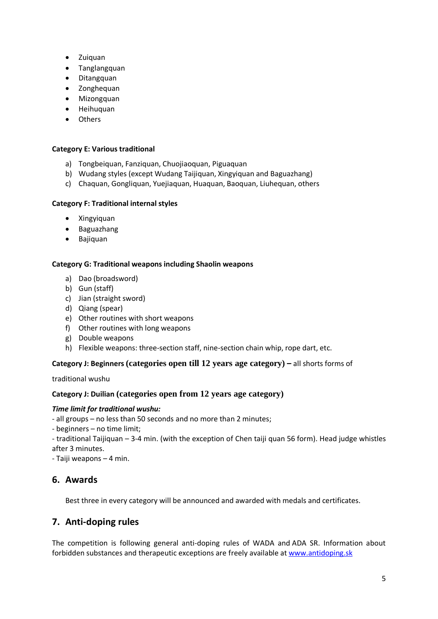- Zuiquan
- Tanglangquan
- Ditangquan
- Zonghequan
- Mizongquan
- Heihuquan
- Others

#### **Category E: Various traditional**

- a) Tongbeiquan, Fanziquan, Chuojiaoquan, Piguaquan
- b) Wudang styles (except Wudang Taijiquan, Xingyiquan and Baguazhang)
- c) Chaquan, Gongliquan, Yuejiaquan, Huaquan, Baoquan, Liuhequan, others

#### **Category F: Traditional internal styles**

- Xingyiquan
- Baguazhang
- Bajiquan

#### **Category G: Traditional weapons including Shaolin weapons**

- a) Dao (broadsword)
- b) Gun (staff)
- c) Jian (straight sword)
- d) Qiang (spear)
- e) Other routines with short weapons
- f) Other routines with long weapons
- g) Double weapons
- h) Flexible weapons: three-section staff, nine-section chain whip, rope dart, etc.

#### **Category J: Beginners (categories open till 12 years age category) –** all shorts forms of

traditional wushu

#### **Category J: Duilian (categories open from 12 years age category)**

#### *Time limit for traditional wushu:*

- all groups – no less than 50 seconds and no more than 2 minutes;

- beginners no time limit;
- traditional Taijiquan 3-4 min. (with the exception of Chen taiji quan 56 form). Head judge whistles after 3 minutes.
- Taiji weapons 4 min.

## **6. Awards**

Best three in every category will be announced and awarded with medals and certificates.

## **7. Anti-doping rules**

The competition is following general anti-doping rules of WADA and ADA SR. Information about forbidden substances and therapeutic exceptions are freely available a[t www.antidoping.sk](http://www.antidoping.sk/)